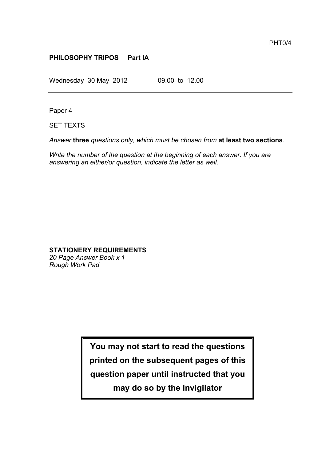## **PHILOSOPHY TRIPOS Part IA**

Wednesday 30 May 2012 09.00 to 12.00

Paper 4

SET TEXTS

*Answer* **three** *questions only, which must be chosen from* **at least two sections**.

*Write the number of the question at the beginning of each answer. If you are answering an either/or question, indicate the letter as well.*

## **STATIONERY REQUIREMENTS**

*20 Page Answer Book x 1 Rough Work Pad*

> **You may not start to read the questions printed on the subsequent pages of this question paper until instructed that you**

> > **may do so by the Invigilator**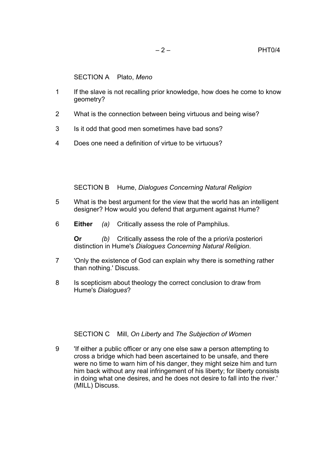SECTION A Plato, *Meno*

- 1 If the slave is not recalling prior knowledge, how does he come to know geometry?
- 2 What is the connection between being virtuous and being wise?
- 3 Is it odd that good men sometimes have bad sons?
- 4 Does one need a definition of virtue to be virtuous?

SECTION B Hume, *Dialogues Concerning Natural Religion*

- 5 What is the best argument for the view that the world has an intelligent designer? How would you defend that argument against Hume?
- 6 **Either** *(a)* Critically assess the role of Pamphilus.

**Or** *(b)* Critically assess the role of the a priori/a posteriori distinction in Hume's *Dialogues Concerning Natural Religion*.

- 7 'Only the existence of God can explain why there is something rather than nothing.' Discuss.
- 8 Is scepticism about theology the correct conclusion to draw from Hume's *Dialogues*?

SECTION C Mill, *On Liberty* and *The Subjection of Women*

9 'If either a public officer or any one else saw a person attempting to cross a bridge which had been ascertained to be unsafe, and there were no time to warn him of his danger, they might seize him and turn him back without any real infringement of his liberty; for liberty consists in doing what one desires, and he does not desire to fall into the river.' (MILL) Discuss.